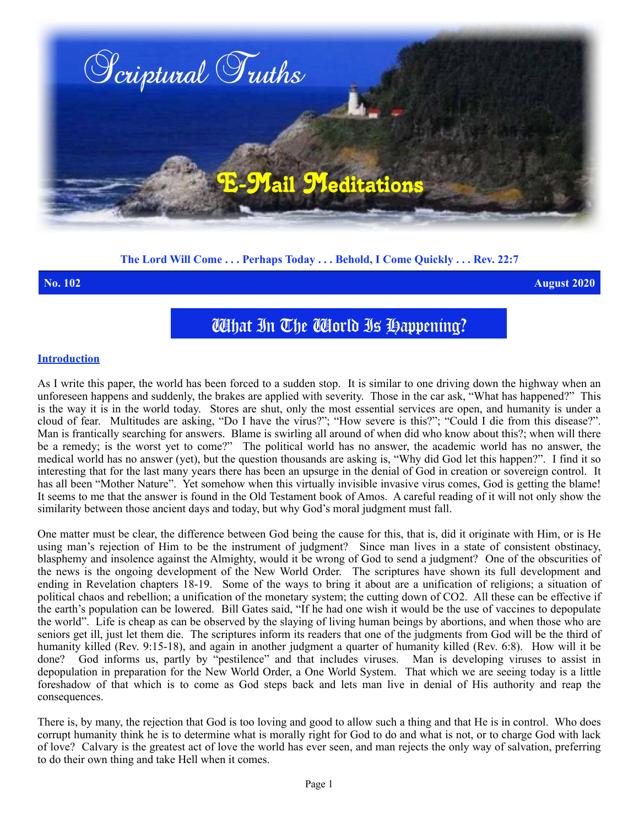

# **The Lord Will Come . . . Perhaps Today . . . Behold, I Come Quickly . . . Rev. 22:7**

**No. 102 August 2020**

# What In The World Is Happening?

#### **Introduction**

As I write this paper, the world has been forced to a sudden stop. It is similar to one driving down the highway when an unforeseen happens and suddenly, the brakes are applied with severity. Those in the car ask, "What has happened?" This is the way it is in the world today. Stores are shut, only the most essential services are open, and humanity is under a cloud of fear. Multitudes are asking, "Do I have the virus?"; "How severe is this?"; "Could I die from this disease?". Man is frantically searching for answers. Blame is swirling all around of when did who know about this?; when will there be a remedy; is the worst yet to come?" The political world has no answer, the academic world has no answer, the medical world has no answer (yet), but the question thousands are asking is, "Why did God let this happen?". I find it so interesting that for the last many years there has been an upsurge in the denial of God in creation or sovereign control. It has all been "Mother Nature". Yet somehow when this virtually invisible invasive virus comes, God is getting the blame! It seems to me that the answer is found in the Old Testament book of Amos. A careful reading of it will not only show the similarity between those ancient days and today, but why God's moral judgment must fall.

One matter must be clear, the difference between God being the cause for this, that is, did it originate with Him, or is He using man's rejection of Him to be the instrument of judgment? Since man lives in a state of consistent obstinacy, blasphemy and insolence against the Almighty, would it be wrong of God to send a judgment? One of the obscurities of the news is the ongoing development of the New World Order. The scriptures have shown its full development and ending in Revelation chapters 18-19. Some of the ways to bring it about are a unification of religions; a situation of political chaos and rebellion; a unification of the monetary system; the cutting down of CO2. All these can be effective if the earth's population can be lowered. Bill Gates said, "If he had one wish it would be the use of vaccines to depopulate the world". Life is cheap as can be observed by the slaying of living human beings by abortions, and when those who are seniors get ill, just let them die. The scriptures inform its readers that one of the judgments from God will be the third of humanity killed (Rev. 9:15-18), and again in another judgment a quarter of humanity killed (Rev. 6:8). How will it be done? God informs us, partly by "pestilence" and that includes viruses. Man is developing viruses to assist in depopulation in preparation for the New World Order, a One World System. That which we are seeing today is a little foreshadow of that which is to come as God steps back and lets man live in denial of His authority and reap the consequences.

There is, by many, the rejection that God is too loving and good to allow such a thing and that He is in control. Who does corrupt humanity think he is to determine what is morally right for God to do and what is not, or to charge God with lack of love? Calvary is the greatest act of love the world has ever seen, and man rejects the only way of salvation, preferring to do their own thing and take Hell when it comes.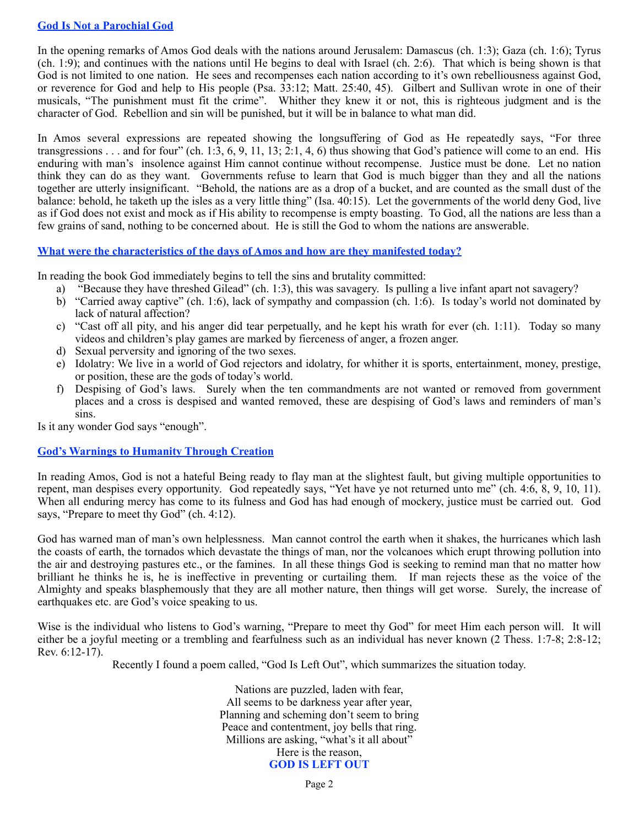## **God Is Not a Parochial God**

In the opening remarks of Amos God deals with the nations around Jerusalem: Damascus (ch. 1:3); Gaza (ch. 1:6); Tyrus (ch. 1:9); and continues with the nations until He begins to deal with Israel (ch. 2:6). That which is being shown is that God is not limited to one nation. He sees and recompenses each nation according to it's own rebelliousness against God, or reverence for God and help to His people (Psa. 33:12; Matt. 25:40, 45). Gilbert and Sullivan wrote in one of their musicals, "The punishment must fit the crime". Whither they knew it or not, this is righteous judgment and is the character of God. Rebellion and sin will be punished, but it will be in balance to what man did.

In Amos several expressions are repeated showing the longsuffering of God as He repeatedly says, "For three transgressions . . . and for four" (ch. 1:3, 6, 9, 11, 13; 2:1, 4, 6) thus showing that God's patience will come to an end. His enduring with man's insolence against Him cannot continue without recompense. Justice must be done. Let no nation think they can do as they want. Governments refuse to learn that God is much bigger than they and all the nations together are utterly insignificant. "Behold, the nations are as a drop of a bucket, and are counted as the small dust of the balance: behold, he taketh up the isles as a very little thing" (Isa. 40:15). Let the governments of the world deny God, live as if God does not exist and mock as if His ability to recompense is empty boasting. To God, all the nations are less than a few grains of sand, nothing to be concerned about. He is still the God to whom the nations are answerable.

### **What were the characteristics of the days of Amos and how are they manifested today?**

In reading the book God immediately begins to tell the sins and brutality committed:

- a) "Because they have threshed Gilead" (ch. 1:3), this was savagery. Is pulling a live infant apart not savagery?
- b) "Carried away captive" (ch. 1:6), lack of sympathy and compassion (ch. 1:6). Is today's world not dominated by lack of natural affection?
- c) "Cast off all pity, and his anger did tear perpetually, and he kept his wrath for ever (ch. 1:11). Today so many videos and children's play games are marked by fierceness of anger, a frozen anger.
- d) Sexual perversity and ignoring of the two sexes.
- e) Idolatry: We live in a world of God rejectors and idolatry, for whither it is sports, entertainment, money, prestige, or position, these are the gods of today's world.
- f) Despising of God's laws. Surely when the ten commandments are not wanted or removed from government places and a cross is despised and wanted removed, these are despising of God's laws and reminders of man's sins.

Is it any wonder God says "enough".

# **God's Warnings to Humanity Through Creation**

In reading Amos, God is not a hateful Being ready to flay man at the slightest fault, but giving multiple opportunities to repent, man despises every opportunity. God repeatedly says, "Yet have ye not returned unto me" (ch. 4:6, 8, 9, 10, 11). When all enduring mercy has come to its fulness and God has had enough of mockery, justice must be carried out. God says, "Prepare to meet thy God" (ch. 4:12).

God has warned man of man's own helplessness. Man cannot control the earth when it shakes, the hurricanes which lash the coasts of earth, the tornados which devastate the things of man, nor the volcanoes which erupt throwing pollution into the air and destroying pastures etc., or the famines. In all these things God is seeking to remind man that no matter how brilliant he thinks he is, he is ineffective in preventing or curtailing them. If man rejects these as the voice of the Almighty and speaks blasphemously that they are all mother nature, then things will get worse. Surely, the increase of earthquakes etc. are God's voice speaking to us.

Wise is the individual who listens to God's warning, "Prepare to meet thy God" for meet Him each person will. It will either be a joyful meeting or a trembling and fearfulness such as an individual has never known (2 Thess. 1:7-8; 2:8-12; Rev. 6:12-17).

Recently I found a poem called, "God Is Left Out", which summarizes the situation today.

Nations are puzzled, laden with fear, All seems to be darkness year after year, Planning and scheming don't seem to bring Peace and contentment, joy bells that ring. Millions are asking, "what's it all about" Here is the reason, **GOD IS LEFT OUT**